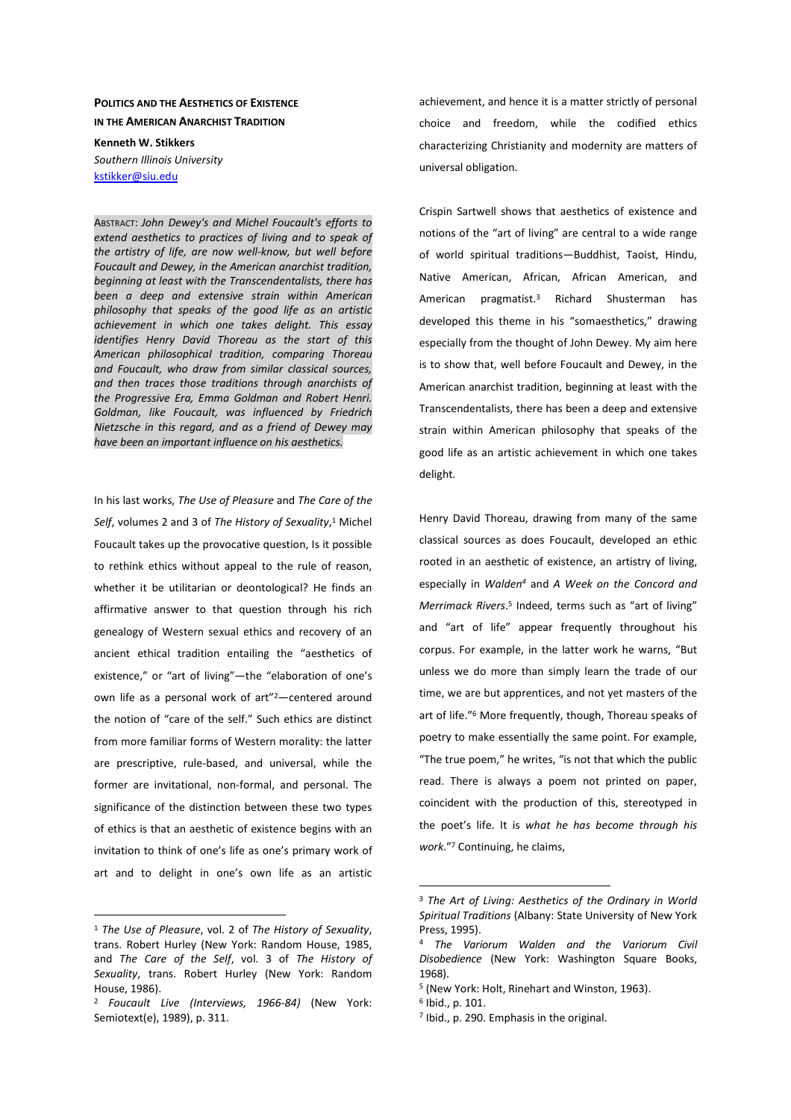## **POLITICS AND THE AESTHETICS OF EXISTENCE IN THE AMERICAN ANARCHIST TRADITION**

**Kenneth W. Stikkers**  *Southern Illinois University*  kstikker@siu.edu

ABSTRACT: *John Dewey's and Michel Foucault's efforts to extend aesthetics to practices of living and to speak of the artistry of life, are now well-know, but well before Foucault and Dewey, in the American anarchist tradition, beginning at least with the Transcendentalists, there has been a deep and extensive strain within American philosophy that speaks of the good life as an artistic achievement in which one takes delight. This essay identifies Henry David Thoreau as the start of this American philosophical tradition, comparing Thoreau and Foucault, who draw from similar classical sources, and then traces those traditions through anarchists of the Progressive Era, Emma Goldman and Robert Henri. Goldman, like Foucault, was influenced by Friedrich Nietzsche in this regard, and as a friend of Dewey may have been an important influence on his aesthetics.*

In his last works, *The Use of Pleasure* and *The Care of the*  Self, volumes 2 and 3 of The History of Sexuality,<sup>1</sup> Michel Foucault takes up the provocative question, Is it possible to rethink ethics without appeal to the rule of reason, whether it be utilitarian or deontological? He finds an affirmative answer to that question through his rich genealogy of Western sexual ethics and recovery of an ancient ethical tradition entailing the "aesthetics of existence," or "art of living"—the "elaboration of one's own life as a personal work of art"<sup>2</sup>—centered around the notion of "care of the self." Such ethics are distinct from more familiar forms of Western morality: the latter are prescriptive, rule-based, and universal, while the former are invitational, non-formal, and personal. The significance of the distinction between these two types of ethics is that an aesthetic of existence begins with an invitation to think of one's life as one's primary work of art and to delight in one's own life as an artistic

 $\overline{a}$ 

achievement, and hence it is a matter strictly of personal choice and freedom, while the codified ethics characterizing Christianity and modernity are matters of universal obligation.

Crispin Sartwell shows that aesthetics of existence and notions of the "art of living" are central to a wide range of world spiritual traditions—Buddhist, Taoist, Hindu, Native American, African, African American, and American pragmatist.<sup>3</sup> Richard Shusterman has developed this theme in his "somaesthetics," drawing especially from the thought of John Dewey. My aim here is to show that, well before Foucault and Dewey, in the American anarchist tradition, beginning at least with the Transcendentalists, there has been a deep and extensive strain within American philosophy that speaks of the good life as an artistic achievement in which one takes delight.

Henry David Thoreau, drawing from many of the same classical sources as does Foucault, developed an ethic rooted in an aesthetic of existence, an artistry of living, especially in *Walden<sup>4</sup>* and *A Week on the Concord and*  Merrimack Rivers.<sup>5</sup> Indeed, terms such as "art of living" and "art of life" appear frequently throughout his corpus. For example, in the latter work he warns, "But unless we do more than simply learn the trade of our time, we are but apprentices, and not yet masters of the art of life."<sup>6</sup> More frequently, though, Thoreau speaks of poetry to make essentially the same point. For example, "The true poem," he writes, "is not that which the public read. There is always a poem not printed on paper, coincident with the production of this, stereotyped in the poet's life. It is *what he has become through his work*."<sup>7</sup> Continuing, he claims,

<sup>1</sup> *The Use of Pleasure*, vol. 2 of *The History of Sexuality*, trans. Robert Hurley (New York: Random House, 1985, and *The Care of the Self*, vol. 3 of *The History of Sexuality*, trans. Robert Hurley (New York: Random House, 1986).

<sup>2</sup> *Foucault Live (Interviews, 1966-84)* (New York: Semiotext(e), 1989), p. 311.

<sup>3</sup> *The Art of Living: Aesthetics of the Ordinary in World Spiritual Traditions* (Albany: State University of New York Press, 1995).

<sup>4</sup> *The Variorum Walden and the Variorum Civil Disobedience* (New York: Washington Square Books, 1968).

<sup>5</sup> (New York: Holt, Rinehart and Winston, 1963).

<sup>6</sup> Ibid., p. 101.

<sup>&</sup>lt;sup>7</sup> Ibid., p. 290. Emphasis in the original.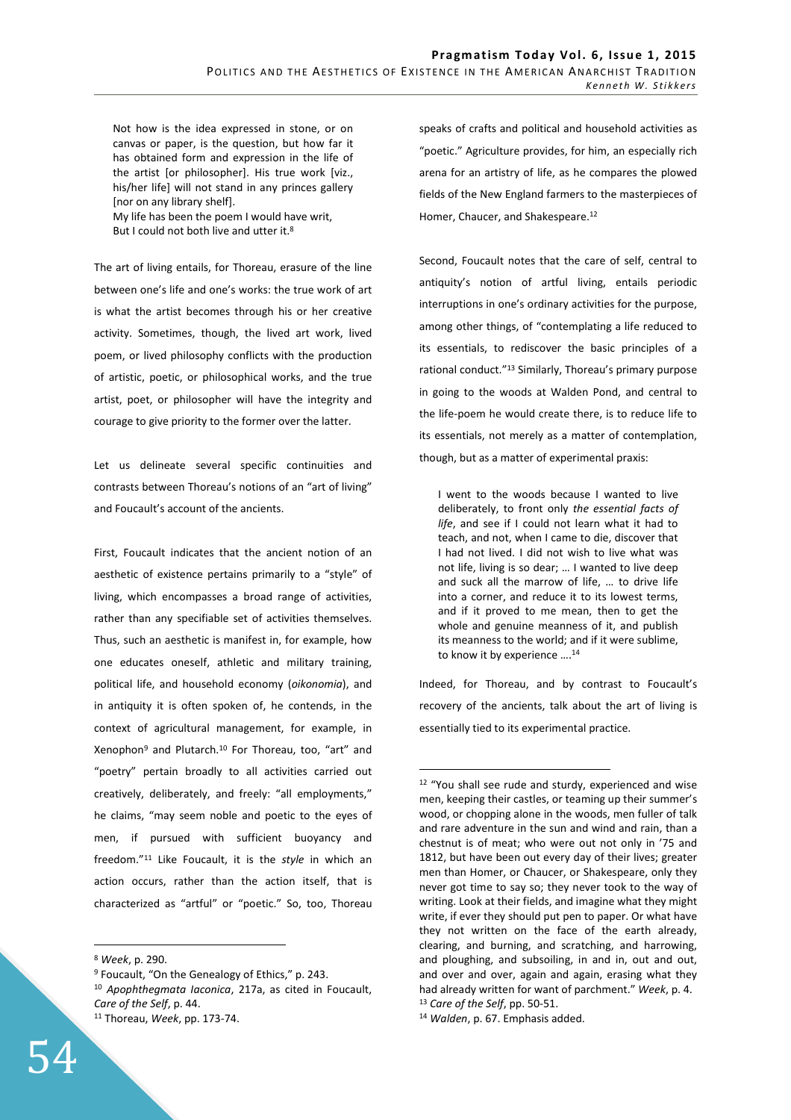Not how is the idea expressed in stone, or on canvas or paper, is the question, but how far it has obtained form and expression in the life of the artist [or philosopher]. His true work [viz., his/her life] will not stand in any princes gallery [nor on any library shelf].

My life has been the poem I would have writ, But I could not both live and utter it.<sup>8</sup>

The art of living entails, for Thoreau, erasure of the line between one's life and one's works: the true work of art is what the artist becomes through his or her creative activity. Sometimes, though, the lived art work, lived poem, or lived philosophy conflicts with the production of artistic, poetic, or philosophical works, and the true artist, poet, or philosopher will have the integrity and courage to give priority to the former over the latter.

Let us delineate several specific continuities and contrasts between Thoreau's notions of an "art of living" and Foucault's account of the ancients.

First, Foucault indicates that the ancient notion of an aesthetic of existence pertains primarily to a "style" of living, which encompasses a broad range of activities, rather than any specifiable set of activities themselves. Thus, such an aesthetic is manifest in, for example, how one educates oneself, athletic and military training, political life, and household economy (*oikonomia*), and in antiquity it is often spoken of, he contends, in the context of agricultural management, for example, in Xenophon<sup>9</sup> and Plutarch.<sup>10</sup> For Thoreau, too, "art" and "poetry" pertain broadly to all activities carried out creatively, deliberately, and freely: "all employments," he claims, "may seem noble and poetic to the eyes of men, if pursued with sufficient buoyancy and freedom."<sup>11</sup> Like Foucault, it is the *style* in which an action occurs, rather than the action itself, that is characterized as "artful" or "poetic." So, too, Thoreau

 $\overline{a}$ 

54

speaks of crafts and political and household activities as "poetic." Agriculture provides, for him, an especially rich arena for an artistry of life, as he compares the plowed fields of the New England farmers to the masterpieces of Homer, Chaucer, and Shakespeare.<sup>12</sup>

Second, Foucault notes that the care of self, central to antiquity's notion of artful living, entails periodic interruptions in one's ordinary activities for the purpose, among other things, of "contemplating a life reduced to its essentials, to rediscover the basic principles of a rational conduct."<sup>13</sup> Similarly, Thoreau's primary purpose in going to the woods at Walden Pond, and central to the life-poem he would create there, is to reduce life to its essentials, not merely as a matter of contemplation, though, but as a matter of experimental praxis:

I went to the woods because I wanted to live deliberately, to front only *the essential facts of life*, and see if I could not learn what it had to teach, and not, when I came to die, discover that I had not lived. I did not wish to live what was not life, living is so dear; … I wanted to live deep and suck all the marrow of life, … to drive life into a corner, and reduce it to its lowest terms, and if it proved to me mean, then to get the whole and genuine meanness of it, and publish its meanness to the world; and if it were sublime, to know it by experience ....<sup>14</sup>

Indeed, for Thoreau, and by contrast to Foucault's recovery of the ancients, talk about the art of living is essentially tied to its experimental practice.

<sup>8</sup> *Week*, p. 290.

<sup>&</sup>lt;sup>9</sup> Foucault, "On the Genealogy of Ethics," p. 243. <sup>10</sup> *Apophthegmata Iaconica*, 217a, as cited in Foucault, *Care of the Self*, p. 44. <sup>11</sup> Thoreau, *Week*, pp. 173-74.

<sup>12</sup> "You shall see rude and sturdy, experienced and wise men, keeping their castles, or teaming up their summer's wood, or chopping alone in the woods, men fuller of talk and rare adventure in the sun and wind and rain, than a chestnut is of meat; who were out not only in '75 and 1812, but have been out every day of their lives; greater men than Homer, or Chaucer, or Shakespeare, only they never got time to say so; they never took to the way of writing. Look at their fields, and imagine what they might write, if ever they should put pen to paper. Or what have they not written on the face of the earth already, clearing, and burning, and scratching, and harrowing, and ploughing, and subsoiling, in and in, out and out, and over and over, again and again, erasing what they had already written for want of parchment." *Week*, p. 4. <sup>13</sup> *Care of the Self*, pp. 50-51.

<sup>14</sup> *Walden*, p. 67. Emphasis added.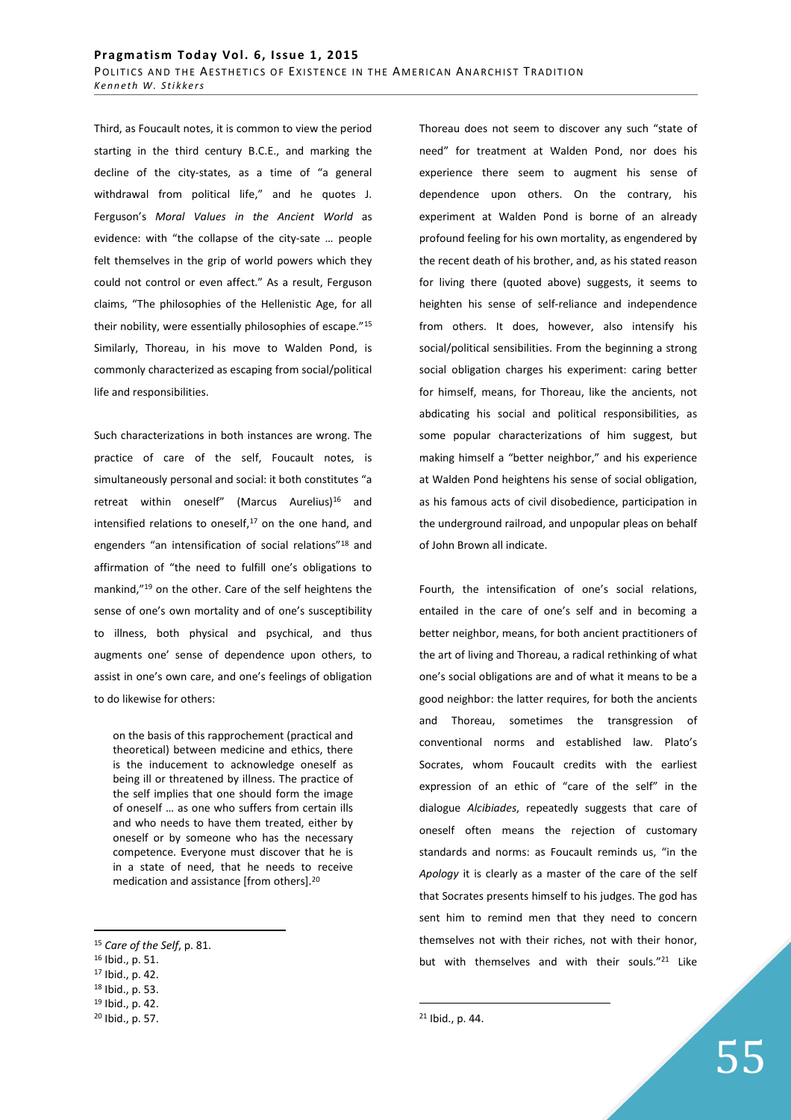Third, as Foucault notes, it is common to view the period starting in the third century B.C.E., and marking the decline of the city-states, as a time of "a general withdrawal from political life," and he quotes J. Ferguson's *Moral Values in the Ancient World* as evidence: with "the collapse of the city-sate … people felt themselves in the grip of world powers which they could not control or even affect." As a result, Ferguson claims, "The philosophies of the Hellenistic Age, for all their nobility, were essentially philosophies of escape."<sup>15</sup> Similarly, Thoreau, in his move to Walden Pond, is commonly characterized as escaping from social/political life and responsibilities.

Such characterizations in both instances are wrong. The practice of care of the self, Foucault notes, is simultaneously personal and social: it both constitutes "a retreat within oneself" (Marcus Aurelius)<sup>16</sup> and intensified relations to oneself, $17$  on the one hand, and engenders "an intensification of social relations"<sup>18</sup> and affirmation of "the need to fulfill one's obligations to mankind,"<sup>19</sup> on the other. Care of the self heightens the sense of one's own mortality and of one's susceptibility to illness, both physical and psychical, and thus augments one' sense of dependence upon others, to assist in one's own care, and one's feelings of obligation to do likewise for others:

on the basis of this rapprochement (practical and theoretical) between medicine and ethics, there is the inducement to acknowledge oneself as being ill or threatened by illness. The practice of the self implies that one should form the image of oneself … as one who suffers from certain ills and who needs to have them treated, either by oneself or by someone who has the necessary competence. Everyone must discover that he is in a state of need, that he needs to receive medication and assistance [from others].<sup>20</sup>

 $\overline{a}$ 

Thoreau does not seem to discover any such "state of need" for treatment at Walden Pond, nor does his experience there seem to augment his sense of dependence upon others. On the contrary, his experiment at Walden Pond is borne of an already profound feeling for his own mortality, as engendered by the recent death of his brother, and, as his stated reason for living there (quoted above) suggests, it seems to heighten his sense of self-reliance and independence from others. It does, however, also intensify his social/political sensibilities. From the beginning a strong social obligation charges his experiment: caring better for himself, means, for Thoreau, like the ancients, not abdicating his social and political responsibilities, as some popular characterizations of him suggest, but making himself a "better neighbor," and his experience at Walden Pond heightens his sense of social obligation, as his famous acts of civil disobedience, participation in the underground railroad, and unpopular pleas on behalf of John Brown all indicate.

Fourth, the intensification of one's social relations, entailed in the care of one's self and in becoming a better neighbor, means, for both ancient practitioners of the art of living and Thoreau, a radical rethinking of what one's social obligations are and of what it means to be a good neighbor: the latter requires, for both the ancients and Thoreau, sometimes the transgression of conventional norms and established law. Plato's Socrates, whom Foucault credits with the earliest expression of an ethic of "care of the self" in the dialogue *Alcibiades*, repeatedly suggests that care of oneself often means the rejection of customary standards and norms: as Foucault reminds us, "in the *Apology* it is clearly as a master of the care of the self that Socrates presents himself to his judges. The god has sent him to remind men that they need to concern themselves not with their riches, not with their honor, but with themselves and with their souls."<sup>21</sup> Like

<sup>15</sup> *Care of the Self*, p. 81.

<sup>16</sup> Ibid., p. 51.

<sup>17</sup> Ibid., p. 42.

<sup>18</sup> Ibid., p. 53.

<sup>19</sup> Ibid., p. 42.

<sup>20</sup> Ibid., p. 57.

<sup>21</sup> Ibid., p. 44.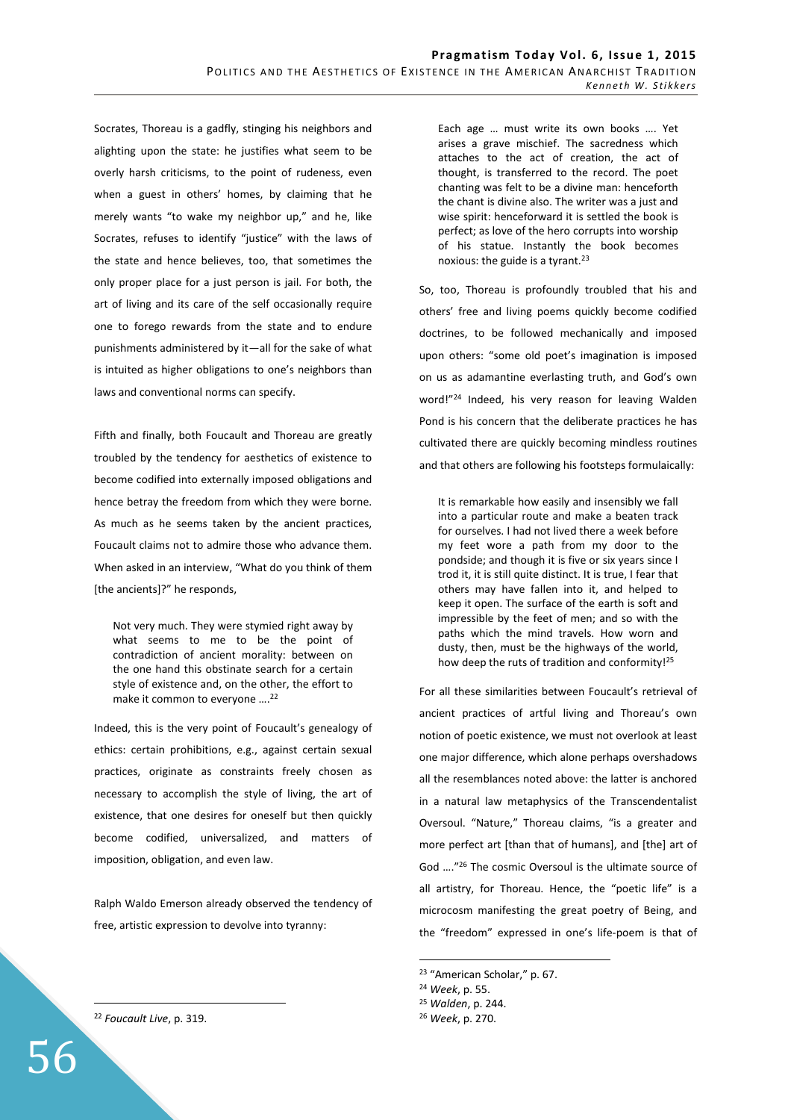Socrates, Thoreau is a gadfly, stinging his neighbors and alighting upon the state: he justifies what seem to be overly harsh criticisms, to the point of rudeness, even when a guest in others' homes, by claiming that he merely wants "to wake my neighbor up," and he, like Socrates, refuses to identify "justice" with the laws of the state and hence believes, too, that sometimes the only proper place for a just person is jail. For both, the art of living and its care of the self occasionally require one to forego rewards from the state and to endure punishments administered by it—all for the sake of what is intuited as higher obligations to one's neighbors than laws and conventional norms can specify.

Fifth and finally, both Foucault and Thoreau are greatly troubled by the tendency for aesthetics of existence to become codified into externally imposed obligations and hence betray the freedom from which they were borne. As much as he seems taken by the ancient practices, Foucault claims not to admire those who advance them. When asked in an interview, "What do you think of them [the ancients]?" he responds,

Not very much. They were stymied right away by what seems to me to be the point of contradiction of ancient morality: between on the one hand this obstinate search for a certain style of existence and, on the other, the effort to make it common to everyone ….<sup>22</sup>

Indeed, this is the very point of Foucault's genealogy of ethics: certain prohibitions, e.g., against certain sexual practices, originate as constraints freely chosen as necessary to accomplish the style of living, the art of existence, that one desires for oneself but then quickly become codified, universalized, and matters of imposition, obligation, and even law.

Ralph Waldo Emerson already observed the tendency of free, artistic expression to devolve into tyranny:

Each age … must write its own books …. Yet arises a grave mischief. The sacredness which attaches to the act of creation, the act of thought, is transferred to the record. The poet chanting was felt to be a divine man: henceforth the chant is divine also. The writer was a just and wise spirit: henceforward it is settled the book is perfect; as love of the hero corrupts into worship of his statue. Instantly the book becomes noxious: the guide is a tyrant.<sup>23</sup>

So, too, Thoreau is profoundly troubled that his and others' free and living poems quickly become codified doctrines, to be followed mechanically and imposed upon others: "some old poet's imagination is imposed on us as adamantine everlasting truth, and God's own word!"<sup>24</sup> Indeed, his very reason for leaving Walden Pond is his concern that the deliberate practices he has cultivated there are quickly becoming mindless routines and that others are following his footsteps formulaically:

It is remarkable how easily and insensibly we fall into a particular route and make a beaten track for ourselves. I had not lived there a week before my feet wore a path from my door to the pondside; and though it is five or six years since I trod it, it is still quite distinct. It is true, I fear that others may have fallen into it, and helped to keep it open. The surface of the earth is soft and impressible by the feet of men; and so with the paths which the mind travels. How worn and dusty, then, must be the highways of the world, how deep the ruts of tradition and conformity!<sup>25</sup>

For all these similarities between Foucault's retrieval of ancient practices of artful living and Thoreau's own notion of poetic existence, we must not overlook at least one major difference, which alone perhaps overshadows all the resemblances noted above: the latter is anchored in a natural law metaphysics of the Transcendentalist Oversoul. "Nature," Thoreau claims, "is a greater and more perfect art [than that of humans], and [the] art of God …."<sup>26</sup> The cosmic Oversoul is the ultimate source of all artistry, for Thoreau. Hence, the "poetic life" is a microcosm manifesting the great poetry of Being, and the "freedom" expressed in one's life-poem is that of

 $\overline{a}$ 

<sup>25</sup> *Walden*, p. 244.

<sup>22</sup> *Foucault Live*, p. 319.

 $\overline{a}$ 

56

<sup>23</sup> "American Scholar," p. 67.

<sup>24</sup> *Week*, p. 55.

<sup>26</sup> *Week*, p. 270.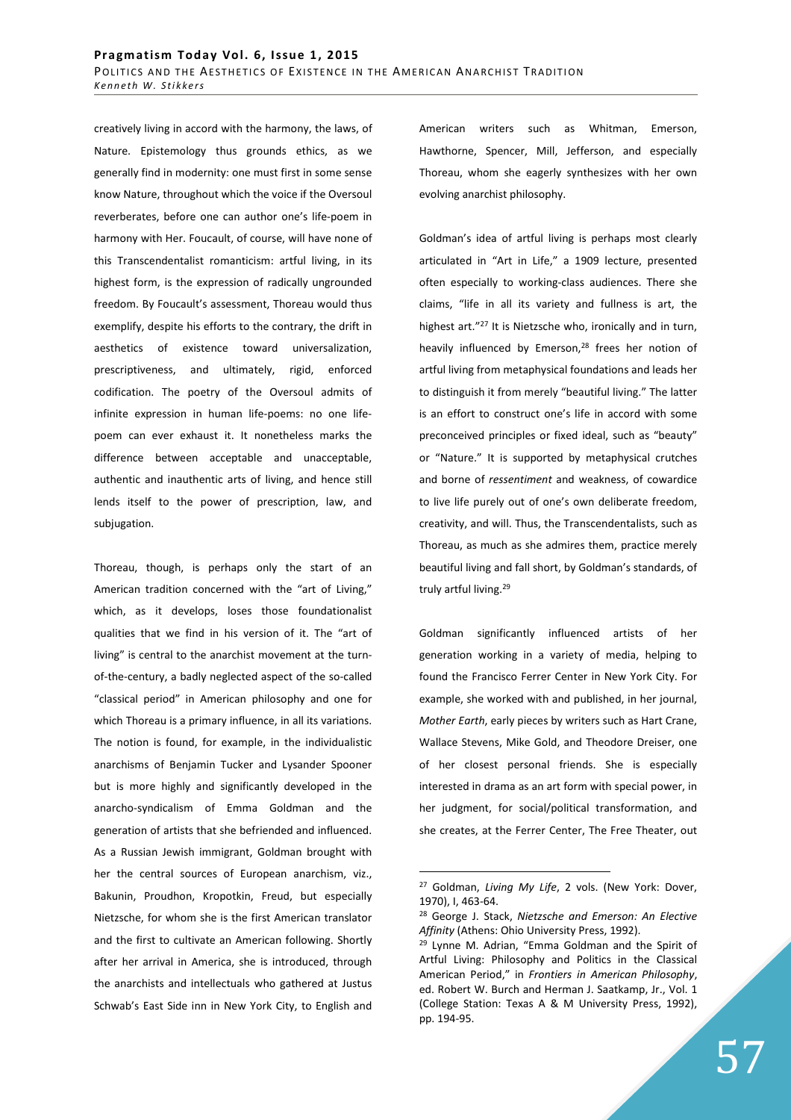creatively living in accord with the harmony, the laws, of Nature. Epistemology thus grounds ethics, as we generally find in modernity: one must first in some sense know Nature, throughout which the voice if the Oversoul reverberates, before one can author one's life-poem in harmony with Her. Foucault, of course, will have none of this Transcendentalist romanticism: artful living, in its highest form, is the expression of radically ungrounded freedom. By Foucault's assessment, Thoreau would thus exemplify, despite his efforts to the contrary, the drift in aesthetics of existence toward universalization, prescriptiveness, and ultimately, rigid, enforced codification. The poetry of the Oversoul admits of infinite expression in human life-poems: no one lifepoem can ever exhaust it. It nonetheless marks the difference between acceptable and unacceptable, authentic and inauthentic arts of living, and hence still lends itself to the power of prescription, law, and subjugation.

Thoreau, though, is perhaps only the start of an American tradition concerned with the "art of Living," which, as it develops, loses those foundationalist qualities that we find in his version of it. The "art of living" is central to the anarchist movement at the turnof-the-century, a badly neglected aspect of the so-called "classical period" in American philosophy and one for which Thoreau is a primary influence, in all its variations. The notion is found, for example, in the individualistic anarchisms of Benjamin Tucker and Lysander Spooner but is more highly and significantly developed in the anarcho-syndicalism of Emma Goldman and the generation of artists that she befriended and influenced. As a Russian Jewish immigrant, Goldman brought with her the central sources of European anarchism, viz., Bakunin, Proudhon, Kropotkin, Freud, but especially Nietzsche, for whom she is the first American translator and the first to cultivate an American following. Shortly after her arrival in America, she is introduced, through the anarchists and intellectuals who gathered at Justus Schwab's East Side inn in New York City, to English and

American writers such as Whitman, Emerson, Hawthorne, Spencer, Mill, Jefferson, and especially Thoreau, whom she eagerly synthesizes with her own evolving anarchist philosophy.

Goldman's idea of artful living is perhaps most clearly articulated in "Art in Life," a 1909 lecture, presented often especially to working-class audiences. There she claims, "life in all its variety and fullness is art, the highest art."<sup>27</sup> It is Nietzsche who, ironically and in turn, heavily influenced by Emerson,<sup>28</sup> frees her notion of artful living from metaphysical foundations and leads her to distinguish it from merely "beautiful living." The latter is an effort to construct one's life in accord with some preconceived principles or fixed ideal, such as "beauty" or "Nature." It is supported by metaphysical crutches and borne of *ressentiment* and weakness, of cowardice to live life purely out of one's own deliberate freedom, creativity, and will. Thus, the Transcendentalists, such as Thoreau, as much as she admires them, practice merely beautiful living and fall short, by Goldman's standards, of truly artful living.<sup>29</sup>

Goldman significantly influenced artists of her generation working in a variety of media, helping to found the Francisco Ferrer Center in New York City. For example, she worked with and published, in her journal, *Mother Earth*, early pieces by writers such as Hart Crane, Wallace Stevens, Mike Gold, and Theodore Dreiser, one of her closest personal friends. She is especially interested in drama as an art form with special power, in her judgment, for social/political transformation, and she creates, at the Ferrer Center, The Free Theater, out

<sup>27</sup> Goldman, *Living My Life*, 2 vols. (New York: Dover, 1970), I, 463-64.

<sup>28</sup> George J. Stack, *Nietzsche and Emerson: An Elective Affinity* (Athens: Ohio University Press, 1992).

<sup>29</sup> Lynne M. Adrian, "Emma Goldman and the Spirit of Artful Living: Philosophy and Politics in the Classical American Period," in *Frontiers in American Philosophy*, ed. Robert W. Burch and Herman J. Saatkamp, Jr., Vol. 1 (College Station: Texas A & M University Press, 1992), pp. 194-95.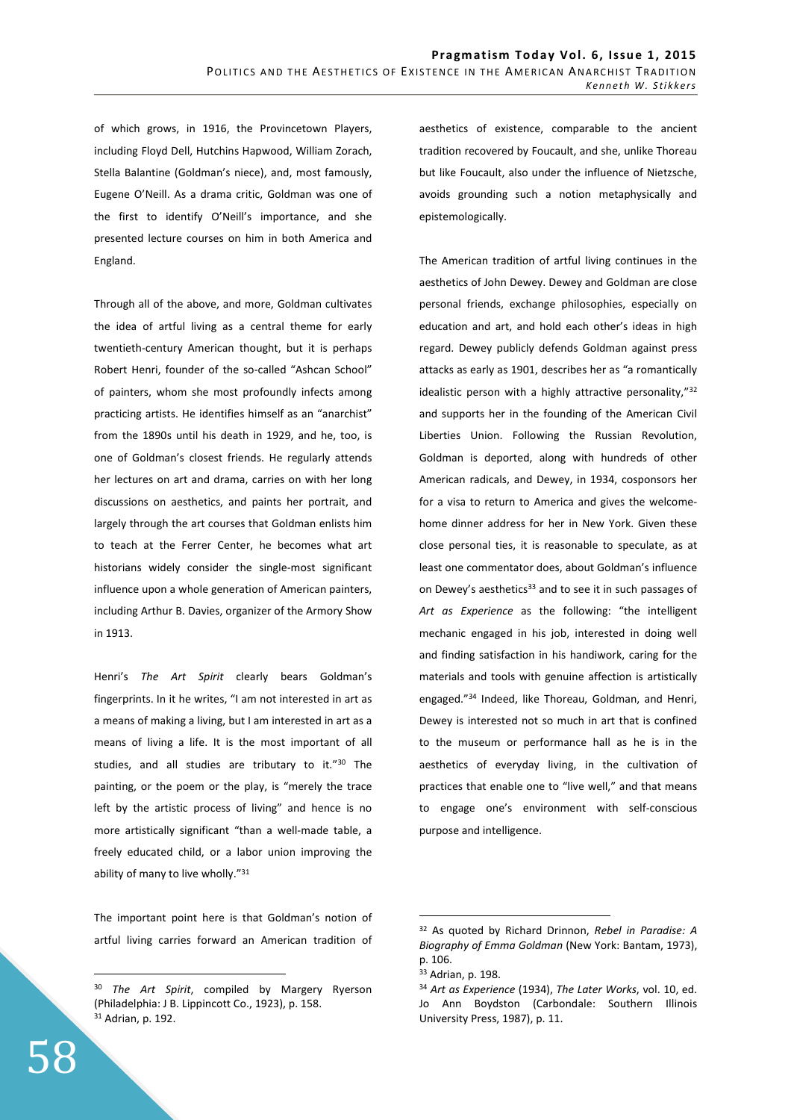of which grows, in 1916, the Provincetown Players, including Floyd Dell, Hutchins Hapwood, William Zorach, Stella Balantine (Goldman's niece), and, most famously, Eugene O'Neill. As a drama critic, Goldman was one of the first to identify O'Neill's importance, and she presented lecture courses on him in both America and England.

Through all of the above, and more, Goldman cultivates the idea of artful living as a central theme for early twentieth-century American thought, but it is perhaps Robert Henri, founder of the so-called "Ashcan School" of painters, whom she most profoundly infects among practicing artists. He identifies himself as an "anarchist" from the 1890s until his death in 1929, and he, too, is one of Goldman's closest friends. He regularly attends her lectures on art and drama, carries on with her long discussions on aesthetics, and paints her portrait, and largely through the art courses that Goldman enlists him to teach at the Ferrer Center, he becomes what art historians widely consider the single-most significant influence upon a whole generation of American painters, including Arthur B. Davies, organizer of the Armory Show in 1913.

Henri's *The Art Spirit* clearly bears Goldman's fingerprints. In it he writes, "I am not interested in art as a means of making a living, but I am interested in art as a means of living a life. It is the most important of all studies, and all studies are tributary to it."<sup>30</sup> The painting, or the poem or the play, is "merely the trace left by the artistic process of living" and hence is no more artistically significant "than a well-made table, a freely educated child, or a labor union improving the ability of many to live wholly."<sup>31</sup>

The important point here is that Goldman's notion of artful living carries forward an American tradition of aesthetics of existence, comparable to the ancient tradition recovered by Foucault, and she, unlike Thoreau but like Foucault, also under the influence of Nietzsche, avoids grounding such a notion metaphysically and epistemologically.

The American tradition of artful living continues in the aesthetics of John Dewey. Dewey and Goldman are close personal friends, exchange philosophies, especially on education and art, and hold each other's ideas in high regard. Dewey publicly defends Goldman against press attacks as early as 1901, describes her as "a romantically idealistic person with a highly attractive personality,"<sup>32</sup> and supports her in the founding of the American Civil Liberties Union. Following the Russian Revolution, Goldman is deported, along with hundreds of other American radicals, and Dewey, in 1934, cosponsors her for a visa to return to America and gives the welcomehome dinner address for her in New York. Given these close personal ties, it is reasonable to speculate, as at least one commentator does, about Goldman's influence on Dewey's aesthetics<sup>33</sup> and to see it in such passages of *Art as Experience* as the following: "the intelligent mechanic engaged in his job, interested in doing well and finding satisfaction in his handiwork, caring for the materials and tools with genuine affection is artistically engaged."<sup>34</sup> Indeed, like Thoreau, Goldman, and Henri, Dewey is interested not so much in art that is confined to the museum or performance hall as he is in the aesthetics of everyday living, in the cultivation of practices that enable one to "live well," and that means to engage one's environment with self-conscious purpose and intelligence.

 $\overline{a}$ 

<sup>30</sup> *The Art Spirit*, compiled by Margery Ryerson (Philadelphia: J B. Lippincott Co., 1923), p. 158. <sup>31</sup> Adrian, p. 192.

<sup>32</sup> As quoted by Richard Drinnon, *Rebel in Paradise: A Biography of Emma Goldman* (New York: Bantam, 1973), p. 106.

<sup>33</sup> Adrian, p. 198.

<sup>34</sup> *Art as Experience* (1934), *The Later Works*, vol. 10, ed. Jo Ann Boydston (Carbondale: Southern Illinois University Press, 1987), p. 11.